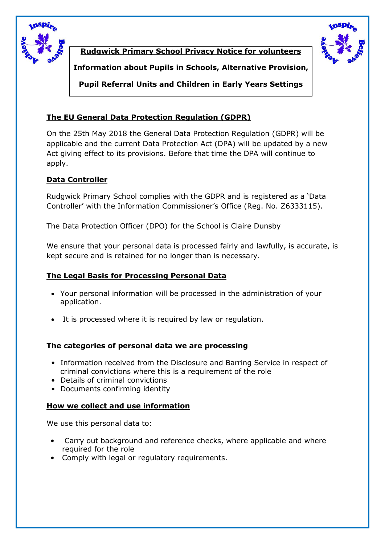

**Rudgwick Primary School Privacy Notice for volunteers**



**Information about Pupils in Schools, Alternative Provision,**

**Pupil Referral Units and Children in Early Years Settings**

# **The EU General Data Protection Regulation (GDPR)**

On the 25th May 2018 the General Data Protection Regulation (GDPR) will be applicable and the current Data Protection Act (DPA) will be updated by a new Act giving effect to its provisions. Before that time the DPA will continue to apply.

## **Data Controller**

Rudgwick Primary School complies with the GDPR and is registered as a 'Data Controller' with the Information Commissioner's Office (Reg. No. Z6333115).

The Data Protection Officer (DPO) for the School is Claire Dunsby

We ensure that your personal data is processed fairly and lawfully, is accurate, is kept secure and is retained for no longer than is necessary.

## **The Legal Basis for Processing Personal Data**

- Your personal information will be processed in the administration of your application.
- It is processed where it is required by law or regulation.

## **The categories of personal data we are processing**

- Information received from the Disclosure and Barring Service in respect of criminal convictions where this is a requirement of the role
- Details of criminal convictions
- Documents confirming identity

## **How we collect and use information**

We use this personal data to:

- Carry out background and reference checks, where applicable and where required for the role
- Comply with legal or regulatory requirements.